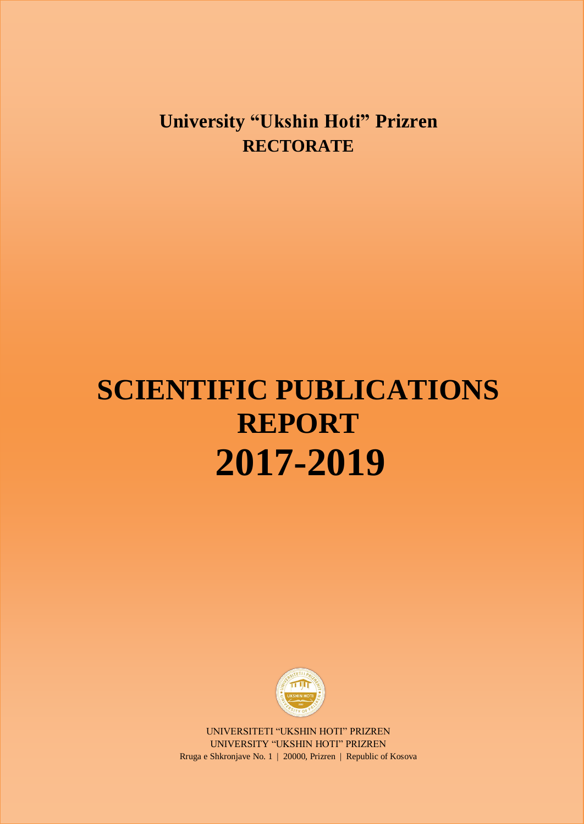## **University "Ukshin Hoti" Prizren RECTORATE**

# **SCIENTIFIC PUBLICATIONS REPORT 2017-2019**



UNIVERSITETI "UKSHIN HOTI" PRIZREN UNIVERSITY "UKSHIN HOTI" PRIZREN Rruga e Shkronjave No. 1 | 20000, Prizren | Republic of Kosova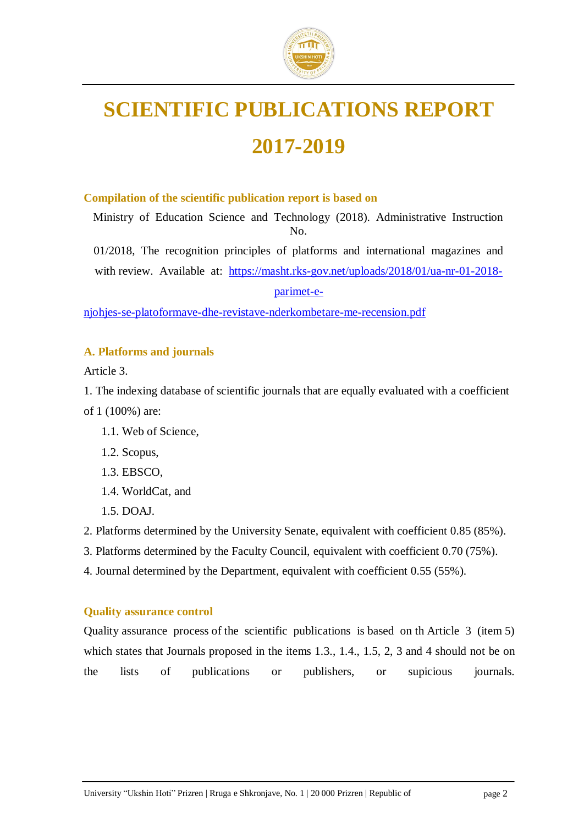

## **SCIENTIFIC PUBLICATIONS REPORT 2017-2019**

#### **Compilation of the scientific publication report is based on**

Ministry of Education Science and Technology (2018). Administrative Instruction No.

01/2018, The recognition principles of platforms and international magazines and with review. Available at: [https://masht.rks-gov.net/uploads/2018/01/ua-nr-01-2018-](https://masht.rks-gov.net/uploads/2018/01/ua-nr-01-2018-parimet-e-njohjes-se-platoformave-dhe-revistave-nderkombetare-me-recension.pdf)

[parimet-e-](https://masht.rks-gov.net/uploads/2018/01/ua-nr-01-2018-parimet-e-njohjes-se-platoformave-dhe-revistave-nderkombetare-me-recension.pdf)

[njohjes-se-platoformave-dhe-revistave-nderkombetare-me-recension.pdf](https://masht.rks-gov.net/uploads/2018/01/ua-nr-01-2018-parimet-e-njohjes-se-platoformave-dhe-revistave-nderkombetare-me-recension.pdf)

#### **A. Platforms and journals**

Article 3.

1. The indexing database of scientific journals that are equally evaluated with a coefficient of 1 (100%) are:

- 1.1. Web of Science,
- 1.2. Scopus,
- 1.3. EBSCO,
- 1.4. WorldCat, and
- 1.5. DOAJ.

2. Platforms determined by the University Senate, equivalent with coefficient 0.85 (85%).

3. Platforms determined by the Faculty Council, equivalent with coefficient 0.70 (75%).

4. Journal determined by the Department, equivalent with coefficient 0.55 (55%).

#### **Quality assurance control**

Quality assurance process of the scientific publications is based on th Article 3 (item 5) which states that Journals proposed in the items 1.3., 1.4., 1.5, 2, 3 and 4 should not be on the lists of publications or publishers, or supicious journals.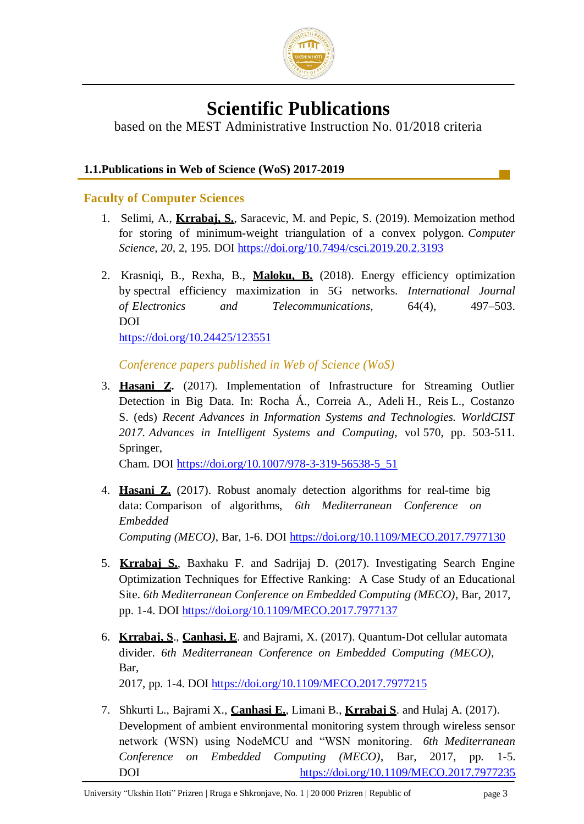

## **Scientific Publications**

based on the MEST Administrative Instruction No. 01/2018 criteria

#### **1.1.Publications in Web of Science (WoS) 2017-2019**

#### **Faculty of Computer Sciences**

- 1. Selimi, A., **Krrabaj, S.**, Saracevic, M. and Pepic, S. (2019). Memoization method for storing of minimum-weight triangulation of a convex polygon. *Computer Science, 20,* 2, 195. DOI<https://doi.org/10.7494/csci.2019.20.2.3193>
- 2. Krasniqi, B., Rexha, B., **Maloku, B.** (2018). Energy efficiency optimization by spectral efficiency maximization in 5G networks. *International Journal of Electronics and Telecommunications*, 64(4), 497–503. DOI <https://doi.org/10.24425/123551>

*Conference papers published in Web of Science (WoS)*

3. **Hasani Z.** (2017). Implementation of Infrastructure for Streaming Outlier Detection in Big Data. In: Rocha Á., Correia A., Adeli H., Reis L., Costanzo S. (eds) *Recent Advances in Information Systems and Technologies. WorldCIST 2017. Advances in Intelligent Systems and Computing,* vol 570, pp. 503-511. Springer,

Cham. DOI [https://doi.org/10.1007/978-3-319-56538-5\\_51](https://doi.org/10.1007/978-3-319-56538-5_51)

- 4. **Hasani Z.** (2017). Robust anomaly detection algorithms for real-time big data: Comparison of algorithms, *6th Mediterranean Conference on Embedded Computing (MECO)*, Bar, 1-6. DOI<https://doi.org/10.1109/MECO.2017.7977130>
- 5. **Krrabaj S.**, Baxhaku F. and Sadrijaj D. (2017). Investigating Search Engine Optimization Techniques for Effective Ranking: A Case Study of an Educational Site. *6th Mediterranean Conference on Embedded Computing (MECO)*, Bar, 2017, pp. 1-4. DOI<https://doi.org/10.1109/MECO.2017.7977137>
- 6. **Krrabaj, S**., **Canhasi, E**. and Bajrami, X. (2017). Quantum-Dot cellular automata divider. *6th Mediterranean Conference on Embedded Computing (MECO)*, Bar, 2017, pp. 1-4. DOI<https://doi.org/10.1109/MECO.2017.7977215>

7. Shkurti L., Bajrami X., **Canhasi E.**, Limani B., **Krrabaj S**. and Hulaj A. (2017). Development of ambient environmental monitoring system through wireless sensor network (WSN) using NodeMCU and "WSN monitoring. *6th Mediterranean Conference on Embedded Computing (MECO)*, Bar, 2017, pp. 1-5.

DOI <https://doi.org/10.1109/MECO.2017.7977235>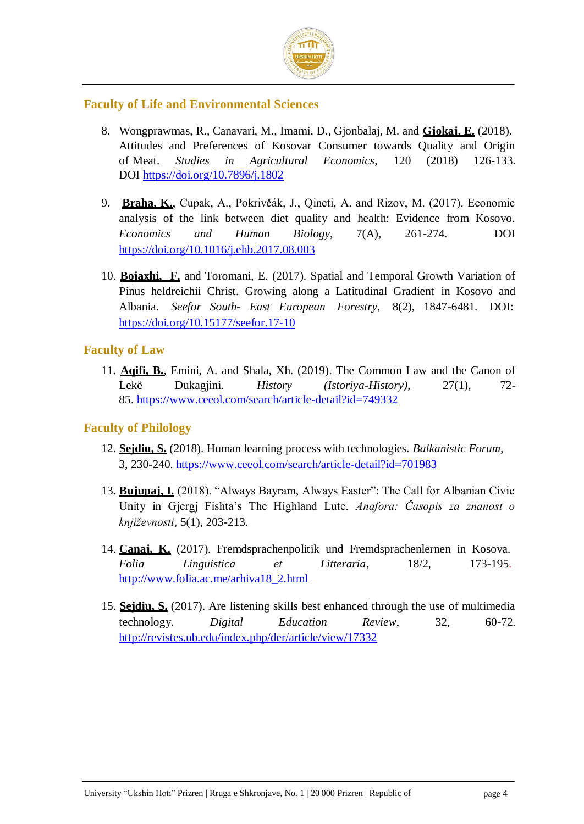

#### **Faculty of Life and Environmental Sciences**

- 8. Wongprawmas, R., Canavari, M., Imami, D., Gjonbalaj, M. and **Gjokaj, E.** (2018). Attitudes and Preferences of Kosovar Consumer towards Quality and Origin of Meat. *Studies in Agricultural Economics*, 120 (2018) 126-133. DOI<https://doi.org/10.7896/j.1802>
- 9. **Braha, K.**, Cupak, A., Pokrivčák, J., Qineti, A. and Rizov, M. (2017). Economic analysis of the link between diet quality and health: Evidence from Kosovo. *Economics and Human Biology*, 7(A), 261-274. DOI <https://doi.org/10.1016/j.ehb.2017.08.003>
- 10. **Bojaxhi, F.** and Toromani, E. (2017). Spatial and Temporal Growth Variation of Pinus heldreichii Christ. Growing along a Latitudinal Gradient in Kosovo and Albania. *Seefor South- East European Forestry*, 8(2), 1847-6481. DOI: <https://doi.org/10.15177/seefor.17-10>

#### **Faculty of Law**

11. **Aqifi, B.**, Emini, A. and Shala, Xh. (2019). The Common Law and the Canon of Lekë Dukagjini. *History (Istoriya-History)*, 27(1), 72- 85.<https://www.ceeol.com/search/article-detail?id=749332>

#### **Faculty of Philology**

- 12. **Sejdiu, S.** (2018). Human learning process with technologies. *Balkanistic Forum*, 3, 230-240.<https://www.ceeol.com/search/article-detail?id=701983>
- 13. **Bujupaj, I.** (2018). "Always Bayram, Always Easter": The Call for Albanian Civic Unity in Gjergj Fishta's The Highland Lute. *Anafora: Časopis za znanost o književnosti*, 5(1), 203-213.
- 14. **Canaj, K.** (2017). Fremdsprachenpolitik und Fremdsprachenlernen in Kosova. *Folia Linguistica et Litteraria*, 18/2, 173-195. [http://www.folia.ac.me/arhiva18\\_2.html](http://www.folia.ac.me/arhiva18_2.html)
- 15. **Sejdiu, S.** (2017). Are listening skills best enhanced through the use of multimedia technology. *Digital Education Review*, 32, 60-72. <http://revistes.ub.edu/index.php/der/article/view/17332>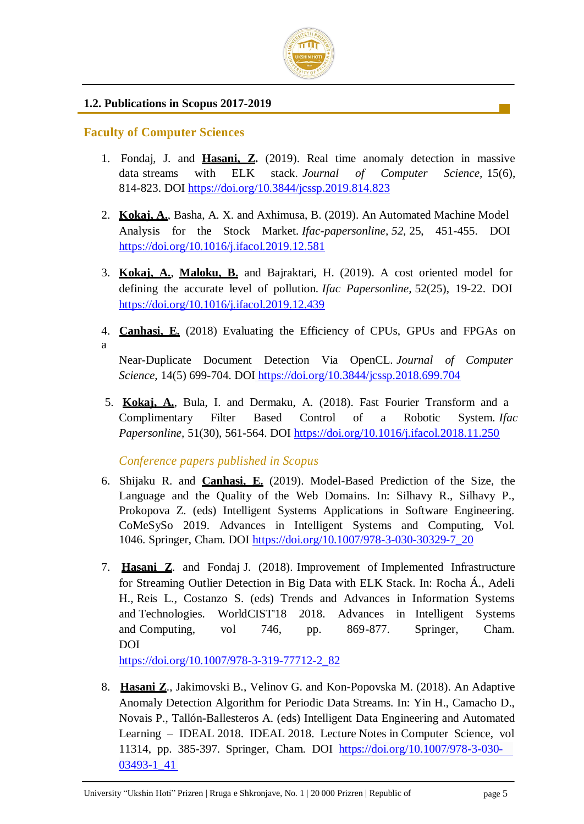

#### **1.2. Publications in Scopus 2017-2019**

#### **Faculty of Computer Sciences**

a

- 1. Fondaj, J. and **Hasani, Z.** (2019). Real time anomaly detection in massive data streams with ELK stack. *Journal of Computer Science,* 15(6), 814-823. DOI<https://doi.org/10.3844/jcssp.2019.814.823>
- 2. **Kokaj, A.**, Basha, A. X. and Axhimusa, B. (2019). An Automated Machine Model Analysis for the Stock Market. *Ifac-papersonline, 52,* 25, 451-455. DOI <https://doi.org/10.1016/j.ifacol.2019.12.581>
- 3. **Kokaj, A.**, **Maloku, B.** and Bajraktari, H. (2019). A cost oriented model for defining the accurate level of pollution. *Ifac Papersonline,* 52(25), 19-22. DOI <https://doi.org/10.1016/j.ifacol.2019.12.439>
- 4. **Canhasi, E.** (2018) Evaluating the Efficiency of CPUs, GPUs and FPGAs on
	- Near-Duplicate Document Detection Via OpenCL. *Journal of Computer Science*, 14(5) 699-704. DOI https://doi.org/10.3844/jcssp.2018.699.704
- 5. **Kokaj, A.**, Bula, I. and Dermaku, A. (2018). Fast Fourier Transform and a Complimentary Filter Based Control of a Robotic System. *Ifac Papersonline,* 51(30), 561-564. DOI<https://doi.org/10.1016/j.ifacol.2018.11.250>

*Conference papers published in Scopus*

- 6. Shijaku R. and **Canhasi, E.** (2019). Model-Based Prediction of the Size, the Language and the Quality of the Web Domains. In: Silhavy R., Silhavy P., Prokopova Z. (eds) Intelligent Systems Applications in Software Engineering. CoMeSySo 2019. Advances in Intelligent Systems and Computing, Vol. 1046. Springer, Cham. DOI [https://doi.org/10.1007/978-3-030-30329-7\\_20](https://doi.org/10.1007/978-3-030-30329-7_20)
- 7. **Hasani Z**. and Fondaj J. (2018). Improvement of Implemented Infrastructure for Streaming Outlier Detection in Big Data with ELK Stack. In: Rocha Á., Adeli H., Reis L., Costanzo S. (eds) Trends and Advances in Information Systems and Technologies. WorldCIST'18 2018. Advances in Intelligent Systems and Computing, vol 746, pp. 869-877. Springer, Cham. DOI

[https://doi.org/10.1007/978-3-319-77712-2\\_82](https://doi.org/10.1007/978-3-319-77712-2_82)

8. **Hasani Z**., Jakimovski B., Velinov G. and Kon-Popovska M. (2018). An Adaptive Anomaly Detection Algorithm for Periodic Data Streams. In: Yin H., Camacho D., Novais P., Tallón-Ballesteros A. (eds) Intelligent Data Engineering and Automated Learning – IDEAL 2018. IDEAL 2018. Lecture Notes in Computer Science, vol 11314, pp. 385-397. Springer, Cham. DOI https://doi.org/10.1007/978-3-030- 03493-1\_41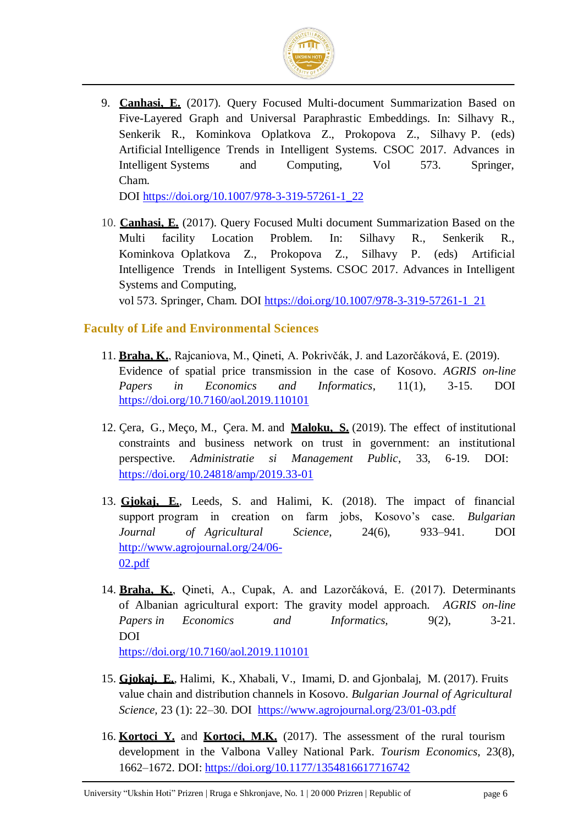

9. **Canhasi, E.** (2017). Query Focused Multi-document Summarization Based on Five-Layered Graph and Universal Paraphrastic Embeddings. In: Silhavy R., Senkerik R., Kominkova Oplatkova Z., Prokopova Z., Silhavy P. (eds) Artificial Intelligence Trends in Intelligent Systems. CSOC 2017. Advances in Intelligent Systems and Computing, Vol 573. Springer, Cham.

DOI [https://doi.org/10.1007/978-3-319-57261-1\\_22](https://doi.org/10.1007/978-3-319-57261-1_22)

10. **Canhasi, E.** (2017). Query Focused Multi document Summarization Based on the Multi facility Location Problem. In: Silhavy R., Senkerik R., Kominkova Oplatkova Z., Prokopova Z., Silhavy P. (eds) Artificial Intelligence Trends in Intelligent Systems. CSOC 2017. Advances in Intelligent Systems and Computing,

vol 573. Springer, Cham. DOI https://doi.org/10.1007/978-3-319-57261-1\_21

#### **Faculty of Life and Environmental Sciences**

- 11. **Braha, K.**, Rajcaniova, M., Qineti, A. Pokrivčák, J. and Lazorčáková, E. (2019). Evidence of spatial price transmission in the case of Kosovo. *AGRIS on-line Papers in Economics and Informatics*, 11(1), 3-15. DOI [https://doi.org/10.7160/aol.2019.110101](https://doi.org/10.1016/j.ehb.2017.08.003)
- 12. Çera, G., Meço, M., Çera. M. and **Maloku, S.** (2019). The effect of institutional constraints and business network on trust in government: an institutional perspective. *Administratie si Management Public*, 33, 6-19. DOI: <https://doi.org/10.24818/amp/2019.33-01>
- 13. **Gjokaj, E.**, Leeds, S. and Halimi, K. (2018). The impact of financial support program in creation on farm jobs, Kosovo's case. *Bulgarian Journal of Agricultural Science*, 24(6), 933–941. DOI [http://www.agrojournal.org/24/06-](http://www.agrojournal.org/24/06-02.pdf) [02.pdf](http://www.agrojournal.org/24/06-02.pdf)
- 14. **Braha, K.**, Qineti, A., Cupak, A. and Lazorčáková, E. (2017). Determinants of Albanian agricultural export: The gravity model approach. *AGRIS on-line Papers in Economics and Informatics,* 9(2), 3-21. DOI

[https://doi.org/10.7160/aol.2019.110101](https://doi.org/10.1016/j.ehb.2017.08.003)

- 15. **Gjokaj, E.**, Halimi, K., Xhabali, V., Imami, D. and Gjonbalaj, M. (2017). Fruits value chain and distribution channels in Kosovo. *Bulgarian Journal of Agricultural Science,* 23 (1): 22–30. DOI <https://www.agrojournal.org/23/01-03.pdf>
- 16. **Kortoci Y.** and **Kortoci, M.K.** (2017). The assessment of the rural tourism development in the Valbona Valley National Park. *Tourism Economics*, 23(8), 1662–1672. DOI:<https://doi.org/10.1177/1354816617716742>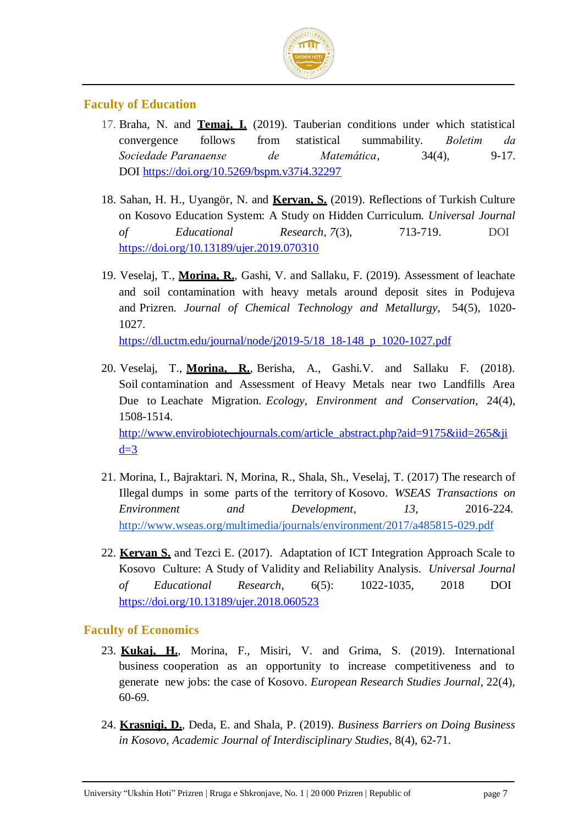

#### **Faculty of Education**

- 17. Braha, N. and **Temaj, I.** (2019). Tauberian conditions under which statistical convergence follows from statistical summability. *Boletim da Sociedade Paranaense de Matemática*, 34(4), 9-17. DOI<https://doi.org/10.5269/bspm.v37i4.32297>
- 18. Sahan, H. H., Uyangör, N. and **Kervan, S.** (2019). Reflections of Turkish Culture on Kosovo Education System: A Study on Hidden Curriculum. *Universal Journal of Educational Research*, *7*(3), 713-719. DOI <https://doi.org/10.13189/ujer.2019.070310>
- 19. Veselaj, T., **Morina, R.**, Gashi, V. and Sallaku, F. (2019). Assessment of leachate and soil contamination with heavy metals around deposit sites in Podujeva and Prizren. *Journal of Chemical Technology and Metallurgy,* 54(5), 1020- 1027.

[https://dl.uctm.edu/journal/node/j2019-5/18\\_18-148\\_p\\_1020-1027.pdf](https://dl.uctm.edu/journal/node/j2019-5/18_18-148_p_1020-1027.pdf)

- 20. Veselaj, T., **Morina, R.**, Berisha, A., Gashi.V. and Sallaku F. (2018). Soil contamination and Assessment of Heavy Metals near two Landfills Area Due to Leachate Migration. *Ecology, Environment and Conservation,* 24(4), 1508-1514. [http://www.envirobiotechjournals.com/article\\_abstract.php?aid=9175&iid=265&ji](http://www.envirobiotechjournals.com/article_abstract.php?aid=9175&iid=265&jid=3)  $d=3$
- 21. Morina, I., Bajraktari. N, Morina, R., Shala, Sh., Veselaj, T. (2017) The research of Illegal dumps in some parts of the territory of Kosovo. *WSEAS Transactions on Environment and Development*, *13*, 2016-224. <http://www.wseas.org/multimedia/journals/environment/2017/a485815-029.pdf>
- 22. **Kervan S.** and Tezci E. (2017). Adaptation of ICT Integration Approach Scale to Kosovo Culture: A Study of Validity and Reliability Analysis. *Universal Journal of Educational Research*, 6(5): 1022-1035, 2018 DOI <https://doi.org/10.13189/ujer.2018.060523>

#### **Faculty of Economics**

- 23. **Kukaj, H.**, Morina, F., Misiri, V. and Grima, S. (2019). International business cooperation as an opportunity to increase competitiveness and to generate new jobs: the case of Kosovo. *European Research Studies Journal*, 22(4), 60-69.
- 24. **Krasniqi, D.**, Deda, E. and Shala, P. (2019). *Business Barriers on Doing Business in Kosovo, Academic Journal of Interdisciplinary Studies*, 8(4), 62-71.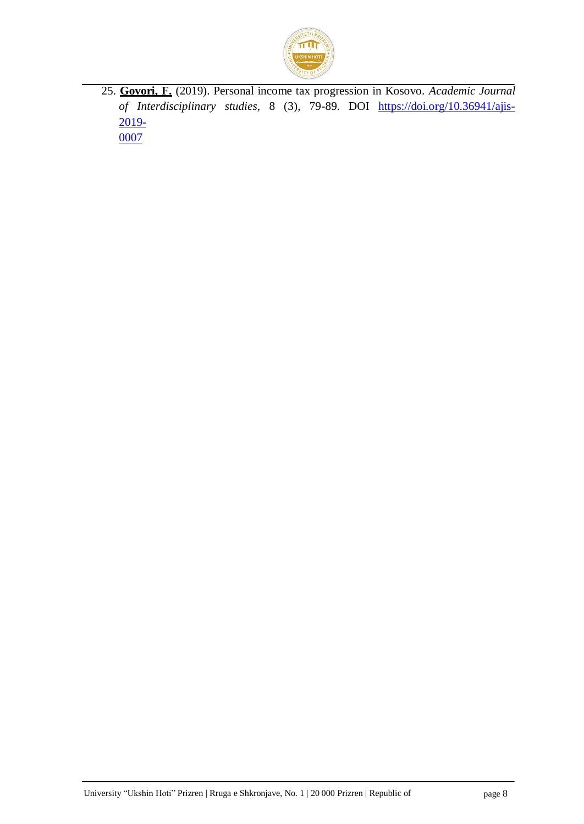

25. **Govori, F.** (2019). Personal income tax progression in Kosovo. *Academic Journal of Interdisciplinary studies*, 8 (3), 79-89. DOI [https://doi.org/10.36941/ajis-](https://doi.org/10.36941/ajis-2019-0007)[2019-](https://doi.org/10.36941/ajis-2019-0007) [0007](https://doi.org/10.36941/ajis-2019-0007)

University "Ukshin Hoti" Prizren | Rruga e Shkronjave, No. 1 | 20 000 Prizren | Republic of page 8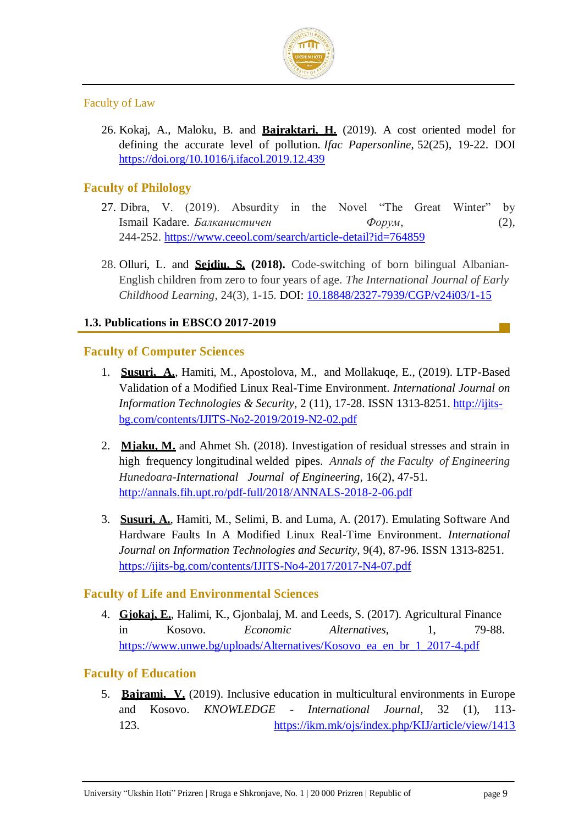

#### Faculty of Law

26. Kokaj, A., Maloku, B. and **Bajraktari, H.** (2019). A cost oriented model for defining the accurate level of pollution. *Ifac Papersonline,* 52(25), 19-22. DOI <https://doi.org/10.1016/j.ifacol.2019.12.439>

#### **Faculty of Philology**

- 27. Dibra, V. (2019). Absurdity in the Novel "The Great Winter" by Ismail Kadare. *Балканистичен Форум*, (2), 244-252.<https://www.ceeol.com/search/article-detail?id=764859>
- 28. Olluri, L. and **Sejdiu, S. (2018).** Code-switching of born bilingual Albanian-English children from zero to four years of age. *The International Journal of Early Childhood Learning*, 24(3), 1-15. DOI: [10.18848/2327-7939/CGP/v24i03/1-15](https://doi.org/10.18848/2327-7939/cgp/v24i03/1-15)

#### **1.3. Publications in EBSCO 2017-2019**

#### **Faculty of Computer Sciences**

- 1. **Susuri, A.**, Hamiti, M., Apostolova, M., and Mollakuqe, E., (2019). LTP-Based Validation of a Modified Linux Real-Time Environment. *International Journal on Information Technologies & Security*, 2 (11), 17-28. ISSN 1313-8251. [http://ijits](http://ijits-bg.com/contents/IJITS-No2-2019/2019-N2-02.pdf)[bg.com/contents/IJITS-No2-2019/2019-N2-02.pdf](http://ijits-bg.com/contents/IJITS-No2-2019/2019-N2-02.pdf)
- 2. **Mjaku, M.** and Ahmet Sh. (2018). Investigation of residual stresses and strain i[n](http://annals.fih.upt.ro/pdf-full/2018/ANNALS-2018-2-06.pdf) [high frequency longitudinal welded pipes.](http://annals.fih.upt.ro/pdf-full/2018/ANNALS-2018-2-06.pdf) *Annals of the Faculty of Engineering Hunedoara-International Journal of Engineering,* 16(2), 47-51. <http://annals.fih.upt.ro/pdf-full/2018/ANNALS-2018-2-06.pdf>
- 3. **Susuri, A.**, Hamiti, M., Selimi, B. and Luma, A. (2017). Emulating Software And Hardware Faults In A Modified Linux Real-Time Environment. *International Journal on Information Technologies and Security*, 9(4), 87-96. ISSN 1313-8251. <https://ijits-bg.com/contents/IJITS-No4-2017/2017-N4-07.pdf>

#### **Faculty of Life and Environmental Sciences**

4. **Gjokaj, E.**, Halimi, K., Gjonbalaj, M. and Leeds, S. (2017). Agricultural Finance in Kosovo. *Economic Alternatives*, 1, 79-88. [https://www.unwe.bg/uploads/Alternatives/Kosovo\\_ea\\_en\\_br\\_1\\_2017-4.pdf](https://www.unwe.bg/uploads/Alternatives/Kosovo_ea_en_br_1_2017-4.pdf)

#### **Faculty of Education**

5. **Bajrami, V.** (2019). Inclusive education in multicultural environments in Europe and Kosovo. *KNOWLEDGE - International Journal*, 32 (1), 113- 123. https://ikm.mk/ojs/index.php/KIJ/article/view/1413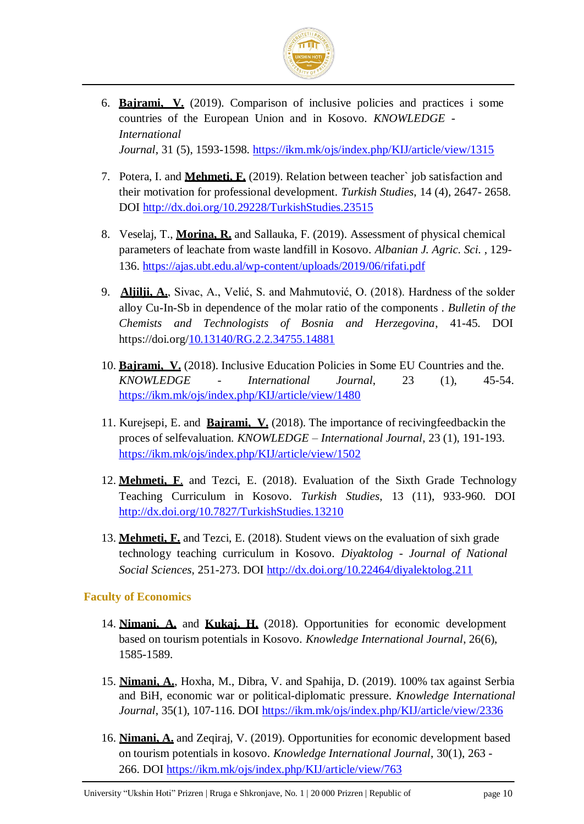

- 6. **Bajrami, V.** (2019). Comparison of inclusive policies and practices i some countries of the European Union and in Kosovo. *KNOWLEDGE - International Journal*, 31 (5), 1593-1598.<https://ikm.mk/ojs/index.php/KIJ/article/view/1315>
- 7. Potera, I. and **Mehmeti, F.** (2019). Relation between teacher` job satisfaction and their motivation for professional development. *Turkish Studies*, 14 (4), 2647- 2658. DOI<http://dx.doi.org/10.29228/TurkishStudies.23515>
- 8. Veselaj, T., **Morina, R.** and Sallauka, F. (2019). Assessment of physical chemical parameters of leachate from waste landfill in Kosovo. *Albanian J. Agric. Sci.* , 129- 136. https://ajas.ubt.edu.al/wp-content/uploads/2019/06/rifati.pdf
- 9. **Aljilji, A.**, Sivac, A., Velić, S. and Mahmutović, O. (2018). Hardness of the solder alloy Cu-In-Sb in dependence of the molar ratio of the components . *Bulletin of the Chemists and Technologists of Bosnia and Herzegovina*, 41-45. DOI https://doi.org[/10.13140/RG.2.2.34755.14881](https://www.researchgate.net/deref/http%3A%2F%2Fdx.doi.org%2F10.13140%2FRG.2.2.34755.14881?_sg%5B0%5D=1eJ2jWwjyG-LJ8UTy20CkTKh6M1aOSeN-LYgKXbmXaLZ8-GOwwmvDwk-PGoBn6ImV8M9dBlsVcfsHn1csnpAVODhwg.7ti7cWJwCIVwluxFwWHECZf13t5XmhB2NF7NCOl5y2quro6E6iDz_8SpzdKhQelyfu-shThPSJzvpE8hO3s9_g)
- 10. **Bajrami, V.** (2018). Inclusive Education Policies in Some EU Countries and the. *KNOWLEDGE - International Journal*, 23 (1), 45-54. <https://ikm.mk/ojs/index.php/KIJ/article/view/1480>
- 11. Kurejsepi, E. and **Bajrami, V.** (2018). The importance of recivingfeedbackin the proces of selfevaluation. *KNOWLEDGE – International Journal*, 23 (1), 191-193. <https://ikm.mk/ojs/index.php/KIJ/article/view/1502>
- 12. **Mehmeti, F**. and Tezci, E. (2018). Evaluation of the Sixth Grade Technology Teaching Curriculum in Kosovo. *Turkish Studies*, 13 (11), 933-960. DOI <http://dx.doi.org/10.7827/TurkishStudies.13210>
- 13. **Mehmeti, F.** and Tezci, E. (2018). Student views on the evaluation of sixh grade technology teaching curriculum in Kosovo. *Diyaktolog - Journal of National Social Sciences*, 251-273. DOI<http://dx.doi.org/10.22464/diyalektolog.211>

#### **Faculty of Economics**

- 14. **Nimani, A.** and **Kukaj, H.** (2018). Opportunities for economic development based on tourism potentials in Kosovo. *Knowledge International Journal*, 26(6), 1585-1589.
- 15. **Nimani, A.**, Hoxha, M., Dibra, V. and Spahija, D. (2019). 100% tax against Serbia and BiH, economic war or political-diplomatic pressure. *Knowledge International*  Journal, 35(1), 107-116. DOI<https://ikm.mk/ojs/index.php/KIJ/article/view/2336>
- 16. **Nimani, A.** and Zeqiraj, V. (2019). Opportunities for economic development based on tourism potentials in kosovo. *Knowledge International Journal*, 30(1), 263 - 266. DOI<https://ikm.mk/ojs/index.php/KIJ/article/view/763>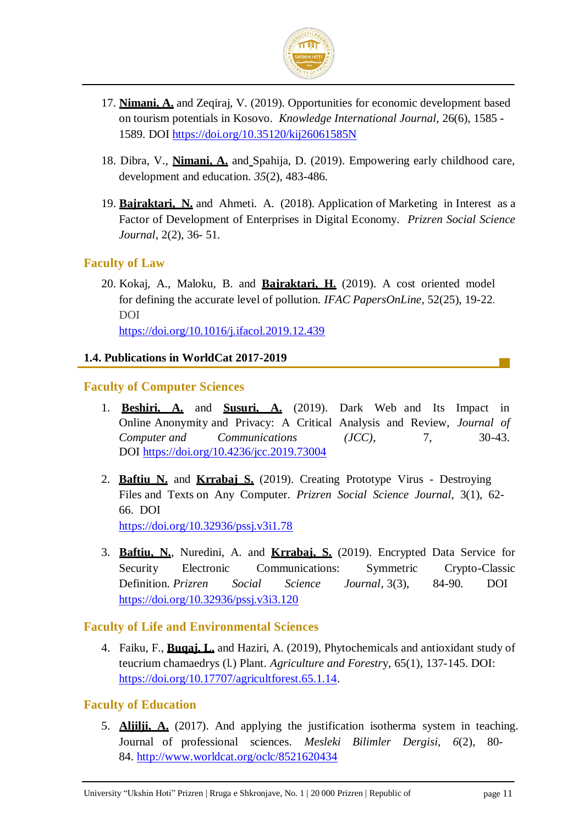

- 17. **Nimani, A.** and Zeqiraj, V. (2019). Opportunities for economic development based on tourism potentials in Kosovo. *Knowledge International Journal*, 26(6), 1585 - 1589. DOI<https://doi.org/10.35120/kij26061585N>
- 18. Dibra, V., **Nimani, A.** and Spahija, D. (2019). Empowering early childhood care, development and education. *35*(2), 483-486.
- 19. **Bajraktari, N.** and Ahmeti. A. (2018). Application of Marketing in Interest as a Factor of Development of Enterprises in Digital Economy. *Prizren Social Science Journal*, 2(2), 36- 51.

#### **Faculty of Law**

20. Kokaj, A., Maloku, B. and **Bajraktari, H.** (2019). A cost oriented model for defining the accurate level of pollution. *IFAC PapersOnLine*, 52(25), 19-22. DOI <https://doi.org/10.1016/j.ifacol.2019.12.439>

**1.4. Publications in WorldCat 2017-2019**

### **Faculty of Computer Sciences**

- 1. **Beshiri, A.** and **Susuri, A.** (2019). Dark Web and Its Impact in Online Anonymity and Privacy: A Critical Analysis and Review, *Journal of Computer and Communications (JCC)*, 7, 30-43. DOI<https://doi.org/10.4236/jcc.2019.73004>
- 2. **Baftiu N.** and **Krrabaj S.** (2019). Creating Prototype Virus Destroying Files and Texts on Any Computer. *Prizren Social Science Journal,* 3(1), 62- 66. DOI

<https://doi.org/10.32936/pssj.v3i1.78>

3. **Baftiu, N.**, Nuredini, A. and **Krrabaj, S.** (2019). Encrypted Data Service for Security Electronic Communications: Symmetric Crypto-Classic Definition. *Prizren Social Science Journal*, 3(3), 84-90. DOI <https://doi.org/10.32936/pssj.v3i3.120>

#### **Faculty of Life and Environmental Sciences**

4. Faiku, F., **Buqaj, L.** and Haziri, A. (2019), Phytochemicals and antioxidant study of teucrium chamaedrys (l.) Plant. *Agriculture and Forestr*y, 65(1), 137-145. DOI: [https://doi.org/10.17707/agricultforest.65.1.14.](https://doi.org/10.17707/agricultforest.65.1.14)

#### **Faculty of Education**

5. **Aljilji, A.** (2017). And applying the justification isotherma system in teaching. Journal of professional sciences. *Mesleki Bilimler Dergisi, 6*(2), 80- 84.<http://www.worldcat.org/oclc/8521620434>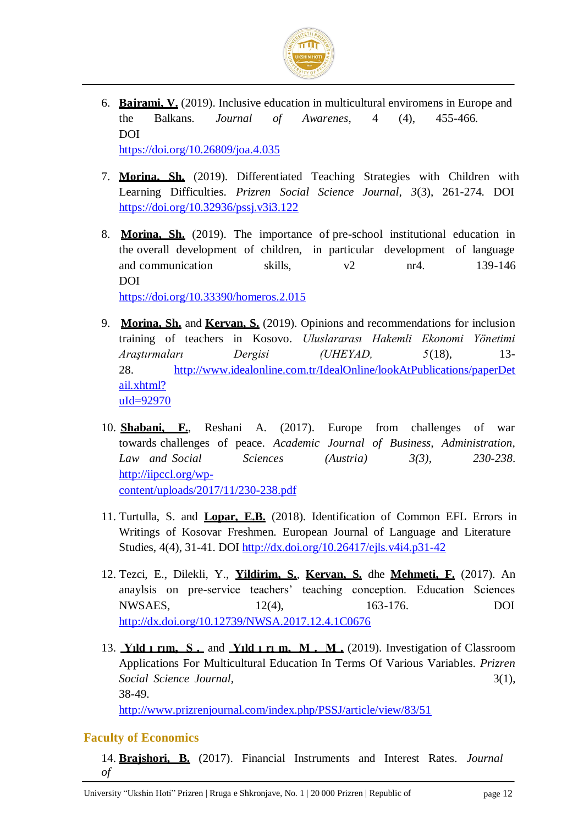

- 6. **Bajrami, V.** (2019). Inclusive education in multicultural enviromens in Europe and the Balkans. *Journal of Awarenes*, 4 (4), 455-466. DOI <https://doi.org/10.26809/joa.4.035>
- 7. **Morina, Sh.** (2019). Differentiated Teaching Strategies with Children with Learning Difficulties. *Prizren Social Science Journal, 3*(3), 261-274. DOI <https://doi.org/10.32936/pssj.v3i3.122>
- 8. **Morina, Sh.** (2019). The importance of pre-school institutional education in the overall development of children, in particular development of language and communication skills,  $v^2$  nr4. 139-146 DOI

<https://doi.org/10.33390/homeros.2.015>

- 9. **Morina, Sh.** and **Kervan, S.** (2019). Opinions and recommendations for inclusion training of teachers in Kosovo. *Uluslararası Hakemli Ekonomi Yönetimi Araştırmaları Dergisi (UHEYAD, 5*(18), 13- 28. [http://www.idealonline.com.tr/IdealOnline/lookAtPublications/paperDet](http://www.idealonline.com.tr/IdealOnline/lookAtPublications/paperDetail.xhtml?uId=92970)  [ail.xhtml?](http://www.idealonline.com.tr/IdealOnline/lookAtPublications/paperDetail.xhtml?uId=92970) [uId=92970](http://www.idealonline.com.tr/IdealOnline/lookAtPublications/paperDetail.xhtml?uId=92970)
- 10. **Shabani, F.**, Reshani A. (2017). Europe from challenges of war towards challenges of peace. *Academic Journal of Business, Administration, Law and Social Sciences (Austria) 3(3), 230-238*. [http://iipccl.org/wp](http://iipccl.org/wp-)content/uploads/2017/11/230-238.pdf
- 11. Turtulla, S. and **Lopar, E.B.** (2018). Identification of Common EFL Errors in Writings of Kosovar Freshmen. European Journal of Language and Literature Studies, 4(4), 31-41. DOI [http://dx.doi.org/10.26417/ejls.v4i4.p31-42](https://dx.doi.org/10.26417/ejls.v4i4.p31-42)
- 12. Tezci, E., Dilekli, Y., **Yildirim, S.**, **Kervan, S.** dhe **Mehmeti, F.** (2017). An anaylsis on pre-service teachers' teaching conception. Education Sciences NWSAES, 12(4), 163-176. DOI <http://dx.doi.org/10.12739/NWSA.2017.12.4.1C0676>
- 13. **Yıld ı rım, S .** and **Yıld ı rı m, M . M .** (2019). Investigation of Classroom Applications For Multicultural Education In Terms Of Various Variables. *Prizren Social Science Journal,* 3(1), 38-49.

<http://www.prizrenjournal.com/index.php/PSSJ/article/view/83/51>

#### **Faculty of Economics**

14. **Brajshori, B.** (2017). Financial Instruments and Interest Rates*. Journal of*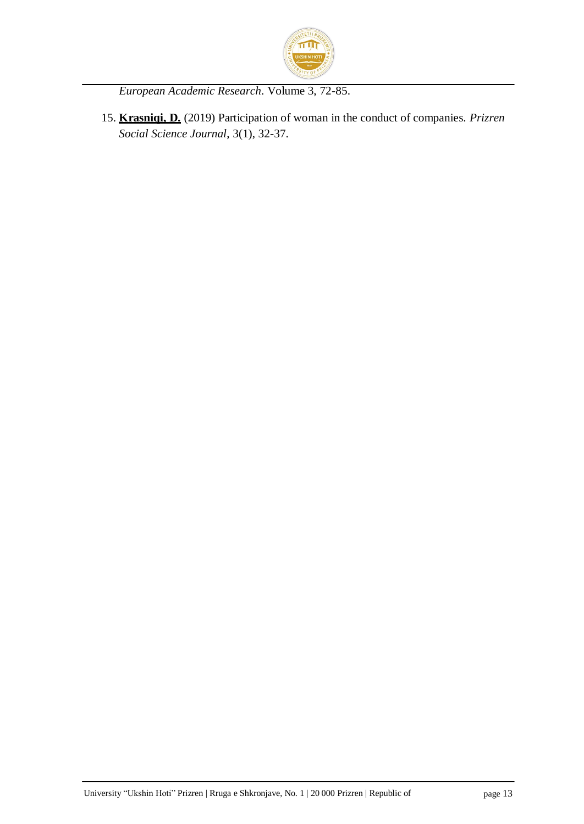

*European Academic Research*. Volume 3, 72-85.

15. **Krasniqi, D.** (2019) Participation of woman in the conduct of companies. *Prizren Social Science Journal*, 3(1), 32-37.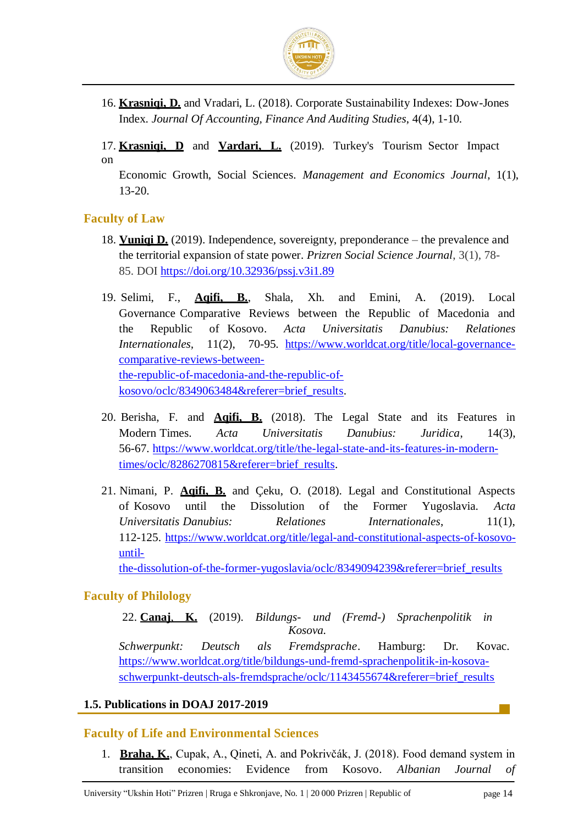

16. **Krasniqi, D.** and Vradari, L. (2018). Corporate Sustainability Indexes: Dow-Jones Index. *Journal Of Accounting, Finance And Auditing Studies*, 4(4), 1-10.

17. **Krasniqi, D** and **Vardari, L.** (2019). Turkey's Tourism Sector Impact on

Economic Growth, Social Sciences. *Management and Economics Journal*, 1(1), 13-20.

#### **Faculty of Law**

- 18. **Vuniqi D.** (2019). Independence, sovereignty, preponderance the prevalence and the territorial expansion of state power*. Prizren Social Science Journal*, 3(1), 78- 85. DOI<https://doi.org/10.32936/pssj.v3i1.89>
- 19. Selimi, F., **Aqifi, B.**, Shala, Xh. and Emini, A. (2019). Local Governance Comparative Reviews between the Republic of Macedonia and the Republic of Kosovo. *Acta Universitatis Danubius: Relationes Internationales,* 11(2), 70-95. [https://www.worldcat.org/title/local-governance](https://www.worldcat.org/title/local-governance-comparative-reviews-between-the-republic-of-macedonia-and-the-republic-of-kosovo/oclc/8349063484&referer=brief_results)[comparative-reviews-between](https://www.worldcat.org/title/local-governance-comparative-reviews-between-the-republic-of-macedonia-and-the-republic-of-kosovo/oclc/8349063484&referer=brief_results)[the-republic-of-macedonia-and-the-republic-of](https://www.worldcat.org/title/local-governance-comparative-reviews-between-the-republic-of-macedonia-and-the-republic-of-kosovo/oclc/8349063484&referer=brief_results)[kosovo/oclc/8349063484&referer=brief\\_results.](https://www.worldcat.org/title/local-governance-comparative-reviews-between-the-republic-of-macedonia-and-the-republic-of-kosovo/oclc/8349063484&referer=brief_results)
- 20. Berisha, F. and **Aqifi, B.** (2018). The Legal State and its Features in Modern Times. *Acta Universitatis Danubius: Juridica*, 14(3), 56-67. [https://www.worldcat.org/title/the-legal-state-and-its-features-in-modern](https://www.worldcat.org/title/the-legal-state-and-its-features-in-modern-times/oclc/8286270815&referer=brief_results)[times/oclc/8286270815&referer=brief\\_results.](https://www.worldcat.org/title/the-legal-state-and-its-features-in-modern-times/oclc/8286270815&referer=brief_results)
- 21. Nimani, P. **Aqifi, B.** and Çeku, O. (2018). Legal and Constitutional Aspects of Kosovo until the Dissolution of the Former Yugoslavia. *Acta Universitatis Danubius: Relationes Internationales*, 11(1), 112-125. [https://www.worldcat.org/title/legal-and-constitutional-aspects-of-kosovo](https://www.worldcat.org/title/legal-and-constitutional-aspects-of-kosovo-until-the-dissolution-of-the-former-yugoslavia/oclc/8349094239&referer=brief_results)[until-](https://www.worldcat.org/title/legal-and-constitutional-aspects-of-kosovo-until-the-dissolution-of-the-former-yugoslavia/oclc/8349094239&referer=brief_results)

[the-dissolution-of-the-former-yugoslavia/oclc/8349094239&referer=brief\\_results](https://www.worldcat.org/title/legal-and-constitutional-aspects-of-kosovo-until-the-dissolution-of-the-former-yugoslavia/oclc/8349094239&referer=brief_results)

#### **Faculty of Philology**

22. **Canaj**, **K.** (2019). *Bildungs- und (Fremd-) Sprachenpolitik in Kosova. Schwerpunkt: Deutsch als Fremdsprache*. Hamburg: Dr. Kovac. [https://www.worldcat.org/title/bildungs-und-fremd-sprachenpolitik-in-kosova-](https://www.worldcat.org/title/bildungs-und-fremd-sprachenpolitik-in-kosova-schwerpunkt-deutsch-als-fremdsprache/oclc/1143455674&referer=brief_results)

[schwerpunkt-deutsch-als-fremdsprache/oclc/1143455674&referer=brief\\_results](https://www.worldcat.org/title/bildungs-und-fremd-sprachenpolitik-in-kosova-schwerpunkt-deutsch-als-fremdsprache/oclc/1143455674&referer=brief_results)

#### **1.5. Publications in DOAJ 2017-2019**

#### **Faculty of Life and Environmental Sciences**

1. **Braha, K.**, Cupak, A., Qineti, A. and Pokrivčák, J. (2018). Food demand system in transition economies: Evidence from Kosovo. *Albanian Journal of*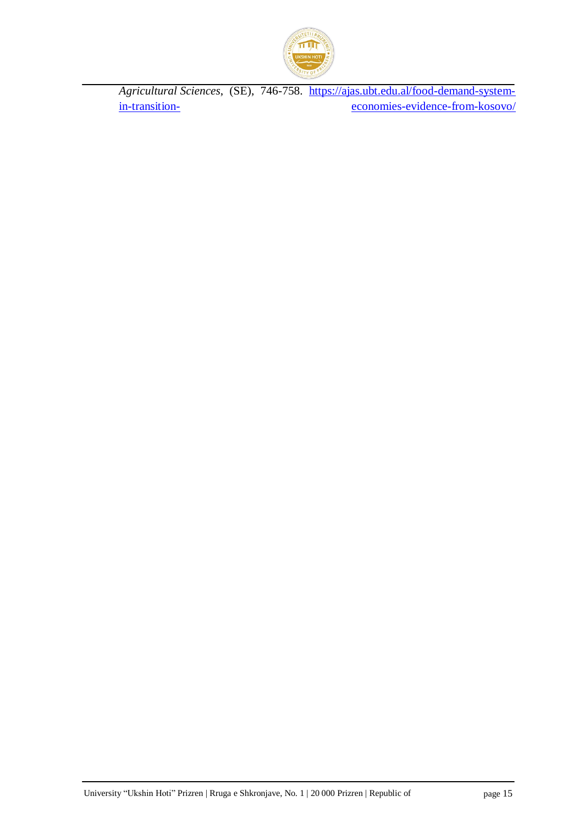

*Agricultural Sciences*, (SE), 746-758. [https://ajas.ubt.edu.al/food-demand-system](https://ajas.ubt.edu.al/food-demand-system-in-transition-economies-evidence-from-kosovo/)[in-transition-](https://ajas.ubt.edu.al/food-demand-system-in-transition-economies-evidence-from-kosovo/) [economies-evidence-from-kosovo/](https://ajas.ubt.edu.al/food-demand-system-in-transition-economies-evidence-from-kosovo/)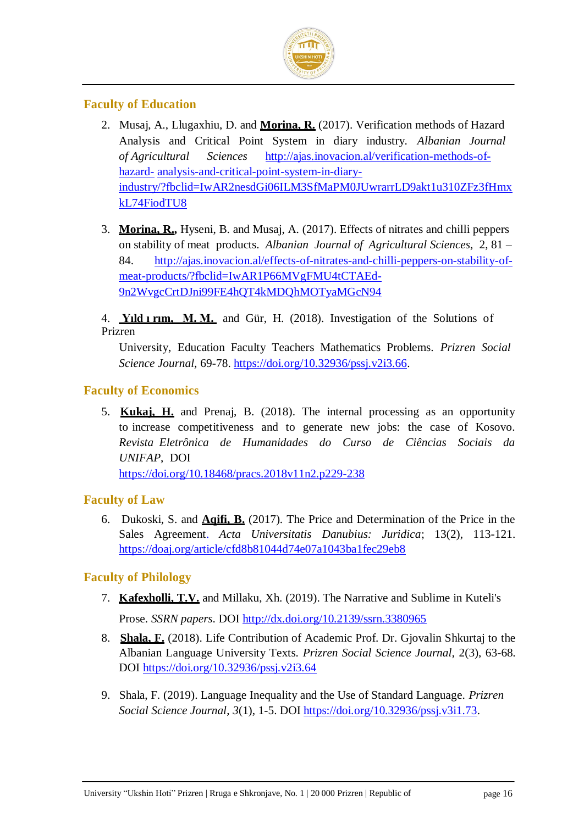

#### **Faculty of Education**

- 2. Musaj, A., Llugaxhiu, D. and **Morina, R.** (2017). Verification methods of Hazard Analysis and Critical Point System in diary industry. *Albanian Journal of Agricultural Sciences* [http://ajas.inovacion.al/verification-methods-of](http://ajas.inovacion.al/verification-methods-of-hazard-analysis-and-critical-point-system-in-diary-industry/?fbclid=IwAR2nesdGi06ILM3SfMaPM0JUwrarrLD9akt1u310ZFz3fHmxkL74FiodTU8)[hazard-](http://ajas.inovacion.al/verification-methods-of-hazard-analysis-and-critical-point-system-in-diary-industry/?fbclid=IwAR2nesdGi06ILM3SfMaPM0JUwrarrLD9akt1u310ZFz3fHmxkL74FiodTU8) [analysis-and-critical-point-system-in-diary](http://ajas.inovacion.al/verification-methods-of-hazard-analysis-and-critical-point-system-in-diary-industry/?fbclid=IwAR2nesdGi06ILM3SfMaPM0JUwrarrLD9akt1u310ZFz3fHmxkL74FiodTU8)[industry/?fbclid=IwAR2nesdGi06ILM3SfMaPM0JUwrarrLD9akt1u310ZFz3fHmx](http://ajas.inovacion.al/verification-methods-of-hazard-analysis-and-critical-point-system-in-diary-industry/?fbclid=IwAR2nesdGi06ILM3SfMaPM0JUwrarrLD9akt1u310ZFz3fHmxkL74FiodTU8) [kL74FiodTU8](http://ajas.inovacion.al/verification-methods-of-hazard-analysis-and-critical-point-system-in-diary-industry/?fbclid=IwAR2nesdGi06ILM3SfMaPM0JUwrarrLD9akt1u310ZFz3fHmxkL74FiodTU8)
- 3. **Morina, R.,** Hyseni, B. and Musaj, A. (2017). Effects of nitrates and chilli peppers on stability of meat products. *Albanian Journal of Agricultural Sciences*, 2, 81 – 84. [http://ajas.inovacion.al/effects-of-nitrates-and-chilli-peppers-on-stability-of](http://ajas.inovacion.al/effects-of-nitrates-and-chilli-peppers-on-stability-of-meat-)[meat-pro](http://ajas.inovacion.al/effects-of-nitrates-and-chilli-peppers-on-stability-of-meat-)ducts/?fbclid=IwAR1P66MVgFMU4tCTAEd-9n2WvgcCrtDJni99FE4hQT4kMDQhMOTyaMGcN94

4. **Yıld ı rım, M. M.** and Gür, H. (2018). Investigation of the Solutions of Prizren

University, Education Faculty Teachers Mathematics Problems. *Prizren Social Science Journal,* 69-78. [https://doi.org/10.32936/pssj.v2i3.66.](https://doi.org/10.32936/pssj.v2i3.66)

#### **Faculty of Economics**

5. **Kukaj, H.** and Prenaj, B. (2018). The internal processing as an opportunity to increase competitiveness and to generate new jobs: the case of Kosovo. *Revista Eletrônica de Humanidades do Curso de Ciências Sociais da UNIFAP*, DOI

<https://doi.org/10.18468/pracs.2018v11n2.p229-238>

#### **Faculty of Law**

6. Dukoski, S. and **Aqifi, B.** (2017). The Price and Determination of the Price in the Sales Agreement. *Acta Universitatis Danubius: Juridica*; 13(2), 113-121. <https://doaj.org/article/cfd8b81044d74e07a1043ba1fec29eb8>

#### **Faculty of Philology**

- 7. **Kafexholli, T.V.** and Millaku, Xh. (2019). The Narrative and Sublime in Kuteli's Prose. *SSRN papers*. DOI [http://dx.doi.org/10.2139/ssrn.3380965](https://dx.doi.org/10.2139/ssrn.3380965)
- 8. **Shala, F.** (2018). Life Contribution of Academic Prof. Dr. Gjovalin Shkurtaj to th[e](https://www.worldcat.org/title/life-contribution-of-academic-prof-dr-gjovalin-shkurtaj-to-the-albanian-language-university-texts/oclc/1080570350&referer=brief_results) [Albanian Language University Texts.](https://www.worldcat.org/title/life-contribution-of-academic-prof-dr-gjovalin-shkurtaj-to-the-albanian-language-university-texts/oclc/1080570350&referer=brief_results) *Prizren Social Science Journal,* 2(3), 63-68. DOI<https://doi.org/10.32936/pssj.v2i3.64>
- 9. Shala, F. (2019). Language Inequality and the Use of Standard Language. *Prizren Social Science Journal*, *3*(1), 1-5. DOI [https://doi.org/10.32936/pssj.v3i1.73.](https://doi.org/10.32936/pssj.v3i1.73)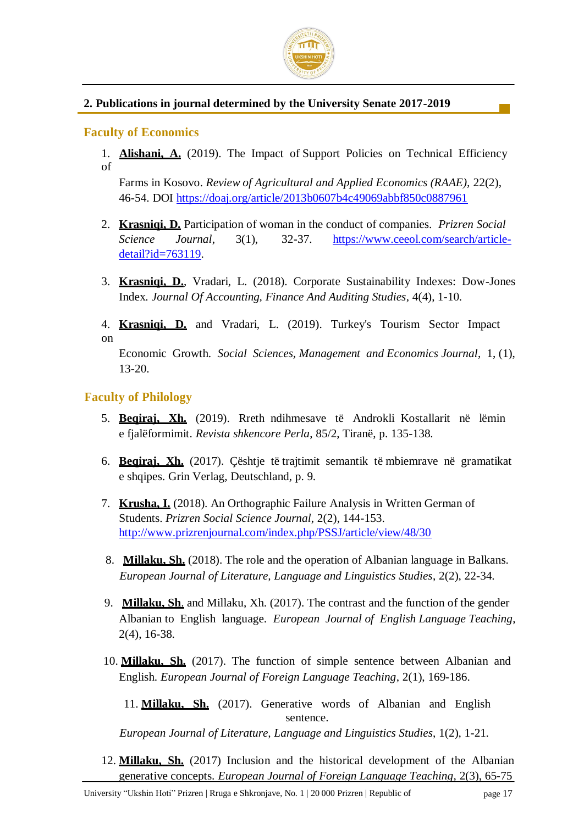

#### **2. Publications in journal determined by the University Senate 2017-2019**

#### **Faculty of Economics**

1. **Alishani, A.** (2019). The Impact of Support Policies on Technical Efficiency of

Farms in Kosovo. *Review of Agricultural and Applied Economics (RAAE),* 22(2), 46-54. DOI<https://doaj.org/article/2013b0607b4c49069abbf850c0887961>

- 2. **Krasniqi, D.** Participation of woman in the conduct of companies. *Prizren Social Science Journal*, 3(1), 32-37. [https://www.ceeol.com/search/article](https://www.ceeol.com/search/article-detail?id=763119)[detail?id=763119.](https://www.ceeol.com/search/article-detail?id=763119)
- 3. **Krasniqi, D.**, Vradari, L. (2018). Corporate Sustainability Indexes: Dow-Jones Index*. Journal Of Accounting, Finance And Auditing Studies*, 4(4), 1-10.
- 4. **Krasniqi, D.** and Vradari, L. (2019). Turkey's Tourism Sector Impact on

Economic Growth. *Social Sciences, Management and Economics Journal*, 1, (1), 13-20.

#### **Faculty of Philology**

- 5. **Beqiraj, Xh.** (2019). Rreth ndihmesave të Androkli Kostallarit në lëmin e fjalëformimit. *Revista shkencore Perla*, 85/2, Tiranë, p. 135-138.
- 6. **Beqiraj, Xh.** (2017). Çështje të trajtimit semantik të mbiemrave në gramatikat e shqipes. Grin Verlag, Deutschland, p. 9.
- 7. **Krusha, I.** (2018). An Orthographic Failure Analysis in Written German of Students. *Prizren Social Science Journal*, 2(2), 144-153. <http://www.prizrenjournal.com/index.php/PSSJ/article/view/48/30>
- 8. **Millaku, Sh.** (2018). The role and the operation of Albanian language in Balkans. *European Journal of Literature, Language and Linguistics Studies*, 2(2), 22-34.
- 9. **Millaku, Sh**. and Millaku, Xh. (2017). The contrast and the function of the gender Albanian to English language*. European Journal of English Language Teaching*, 2(4), 16-38.
- 10. **Millaku, Sh.** (2017). The function of simple sentence between Albanian and English. *European Journal of Foreign Language Teaching*, 2(1), 169-186.

11. **Millaku, Sh.** (2017). Generative words of Albanian and English sentence.

*European Journal of Literature, Language and Linguistics Studies*, 1(2), 1-21.

12. **Millaku, Sh.** (2017) Inclusion and the historical development of the Albanian generative concepts. *European Journal of Foreign Language Teaching*, 2(3), 65-75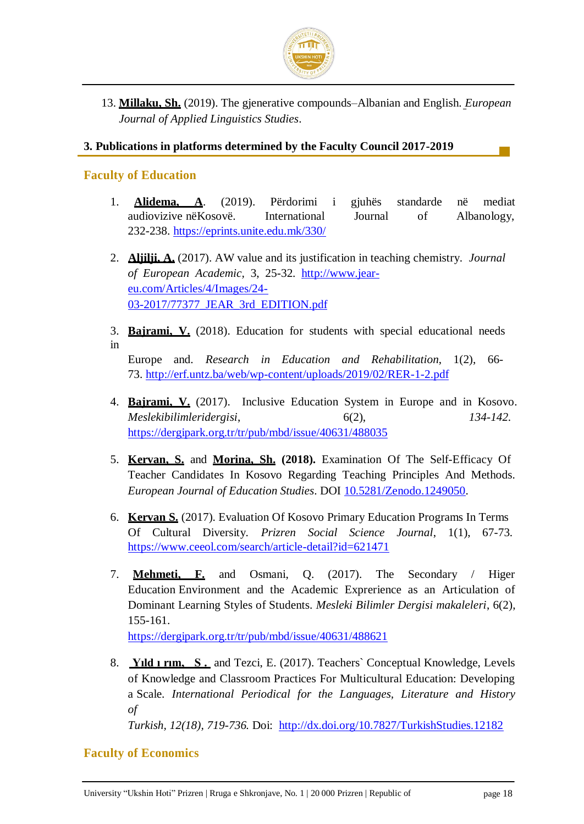

13. **Millaku, Sh.** (2019). The gjenerative compounds–Albanian and English. *European Journal of Applied Linguistics Studies*.

#### **3. Publications in platforms determined by the Faculty Council 2017-2019**

#### **Faculty of Education**

- 1. **Alidema, A**. (2019). Përdorimi i gjuhës standarde në mediat audiovizive nëKosovë. International Journal of Albanology, 232-238.<https://eprints.unite.edu.mk/330/>
- 2. **Aljilji, A.** (2017). AW value and its justification in teaching chemistry. *Journal of European Academic,* 3, 25-32. [http://www.jear](http://www.jear-eu.com/Articles/4/Images/24-03-2017/77377_JEAR_3rd_EDITION.pdf)[eu.com/Articles/4/Images/24-](http://www.jear-eu.com/Articles/4/Images/24-03-2017/77377_JEAR_3rd_EDITION.pdf) [03-2017/77377\\_JEAR\\_3rd\\_EDITION.pdf](http://www.jear-eu.com/Articles/4/Images/24-03-2017/77377_JEAR_3rd_EDITION.pdf)
- 3. **Bajrami, V.** (2018). Education for students with special educational needs in

Europe and. *Research in Education and Rehabilitation*, 1(2), 66- 73.<http://erf.untz.ba/web/wp-content/uploads/2019/02/RER-1-2.pdf>

- 4. **Bajrami, V.** (2017). Inclusive Education System in Europe and in Kosovo. *Meslekibilimleridergisi*, 6(2), *134-142.* <https://dergipark.org.tr/tr/pub/mbd/issue/40631/488035>
- 5. **Kervan, S.** and **Morina, Sh. (2018).** Examination Of The Self-Efficacy Of Teacher Candidates In Kosovo Regarding Teaching Principles And Methods. *European Journal of Education Studies*. DOI [10.5281/Zenodo.1249050.](https://doi.org/10.5281/Zenodo.1249050)
- 6. **Kervan S.** (2017). Evaluation Of Kosovo Primary Education Programs In Terms Of Cultural Diversity. *Prizren Social Science Journal*, 1(1), 67-73. <https://www.ceeol.com/search/article-detail?id=621471>
- 7. **Mehmeti, F.** and Osmani, Q. (2017). The Secondary / Higer Education Environment and the Academic Exprerience as an Articulation of Dominant Learning Styles of Students. *Mesleki Bilimler Dergisi makaleleri*, 6(2), 155-161.

<https://dergipark.org.tr/tr/pub/mbd/issue/40631/488621>

8. **Yıld ı rım, S .** and Tezci, E. (2017). Teachers` Conceptual Knowledge, Levels of Knowledge and Classroom Practices For Multicultural Education: Developing a Scale. *International Periodical for the Languages, Literature and History of*

*Turkish, 12(18), 719-736.* Doi: <http://dx.doi.org/10.7827/TurkishStudies.12182>

#### **Faculty of Economics**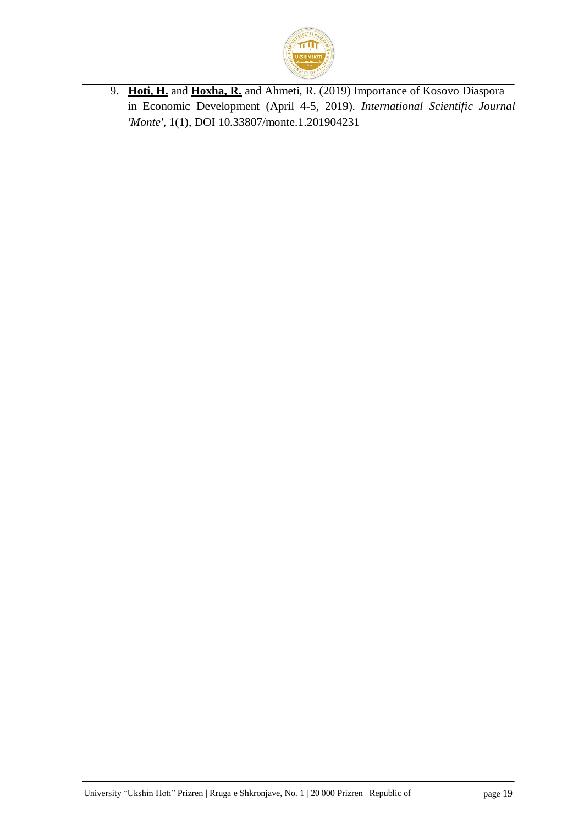

9. **Hoti, H.** and **Hoxha, R.** and Ahmeti, R. (2019) Importance of Kosovo Diaspora in Economic Development (April 4-5, 2019). *International Scientific Journal 'Monte',* 1(1), DOI 10.33807/monte.1.201904231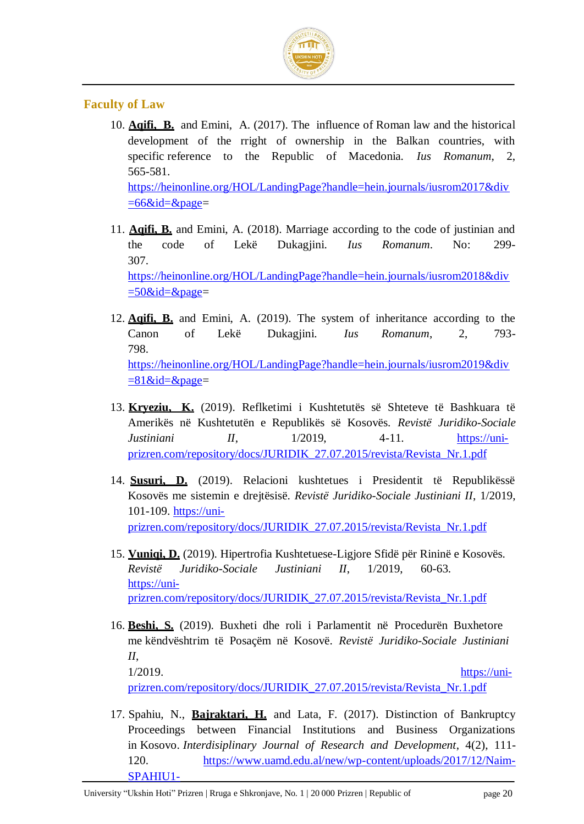

#### **Faculty of Law**

10. **Aqifi, B.** and Emini, A. (2017). The influence of Roman law and the historical development of the rright of ownership in the Balkan countries, with specific reference to the Republic of Macedonia. *Ius Romanum*, 2, 565-581. [https://heinonline.org/HOL/LandingPage?handle=hein.journals/iusrom2017&div](https://heinonline.org/HOL/LandingPage?handle=hein.journals/iusrom2017&div=66&id=&page)

 $=66\&id=\&page=$ 

- 11. **Aqifi, B.** and Emini, A. (2018). Marriage according to the code of justinian and the code of Lekë Dukagjini. *Ius Romanum*. No: 299- 307. [https://heinonline.org/HOL/LandingPage?handle=hein.journals/iusrom2018&div](https://heinonline.org/HOL/LandingPage?handle=hein.journals/iusrom2018&div=50&id=&page)  $=50$ &id=&page=
- 12. **Aqifi, B.** and Emini, A. (2019). The system of inheritance according to the Canon of Lekë Dukagjini*. Ius Romanum*, 2, 793- 798. [https://heinonline.org/HOL/LandingPage?handle=hein.journals/iusrom2019&div](https://heinonline.org/HOL/LandingPage?handle=hein.journals/iusrom2019&div=81&id=&page)  $=81$ &id=&page=
- 13. **Kryeziu, K.** (2019). Reflketimi i Kushtetutës së Shteteve të Bashkuara të Amerikës në Kushtetutën e Republikës së Kosovës. *Revistë Juridiko-Sociale Justiniani II*, 1/2019, 4-11. [https://uni](https://uni-prizren.com/repository/docs/JURIDIK_27.07.2015/revista/Revista_Nr.1.pdf)[prizren.com/repository/docs/JURIDIK\\_27.07.2015/revista/Revista\\_Nr.1.pdf](https://uni-prizren.com/repository/docs/JURIDIK_27.07.2015/revista/Revista_Nr.1.pdf)
- 14. **Susuri, D.** (2019). Relacioni kushtetues i Presidentit të Republikëssë Kosovës me sistemin e drejtësisë. *Revistë Juridiko-Sociale Justiniani II*, 1/2019, 101-109. [https://uni](https://uni-prizren.com/repository/docs/JURIDIK_27.07.2015/revista/Revista_Nr.1.pdf)[prizren.com/repository/docs/JURIDIK\\_27.07.2015/revista/Revista\\_Nr.1.pdf](https://uni-prizren.com/repository/docs/JURIDIK_27.07.2015/revista/Revista_Nr.1.pdf)
- 15. **Vuniqi, D.** (2019). Hipertrofia Kushtetuese-Ligjore Sfidë për Rininë e Kosovës. *Revistë Juridiko-Sociale Justiniani II*, 1/2019, 60-63. [https://uni](https://uni-prizren.com/repository/docs/JURIDIK_27.07.2015/revista/Revista_Nr.1.pdf)[prizren.com/repository/docs/JURIDIK\\_27.07.2015/revista/Revista\\_Nr.1.pdf](https://uni-prizren.com/repository/docs/JURIDIK_27.07.2015/revista/Revista_Nr.1.pdf)
- 16. **Beshi, S.** (2019). Buxheti dhe roli i Parlamentit në Procedurën Buxhetore me këndvështrim të Posaçëm në Kosovë. *Revistë Juridiko-Sociale Justiniani II*, 1/2019. [https://uni-](https://uni-prizren.com/repository/docs/JURIDIK_27.07.2015/revista/Revista_Nr.1.pdf)

[prizren.com/repository/docs/JURIDIK\\_27.07.2015/revista/Revista\\_Nr.1.pdf](https://uni-prizren.com/repository/docs/JURIDIK_27.07.2015/revista/Revista_Nr.1.pdf)

17. Spahiu, N., **Bajraktari, H.** and Lata, F. (2017). Distinction of Bankruptcy Proceedings between Financial Institutions and Business Organizations in Kosovo. *Interdisiplinary Journal of Research and Development*, 4(2), 111- 120. [https://www.uamd.edu.al/new/wp-content/uploads/2017/12/Naim-](https://www.uamd.edu.al/new/wp-content/uploads/2017/12/Naim-SPAHIU1-Halim-BAJRAKTARI2-Florin-LATA.pdf)[SPAHIU1-](https://www.uamd.edu.al/new/wp-content/uploads/2017/12/Naim-SPAHIU1-Halim-BAJRAKTARI2-Florin-LATA.pdf)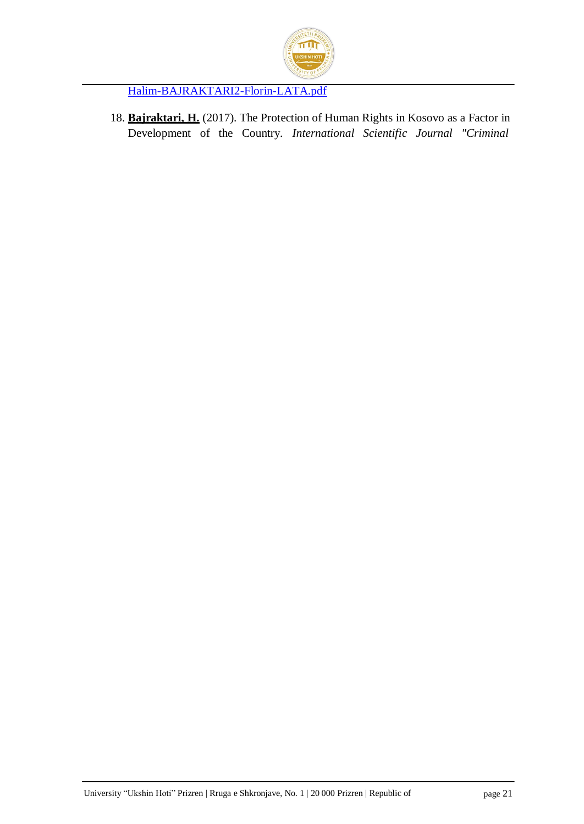

[Halim-BAJRAKTARI2-Florin-LATA.pdf](https://www.uamd.edu.al/new/wp-content/uploads/2017/12/Naim-SPAHIU1-Halim-BAJRAKTARI2-Florin-LATA.pdf)

18. **Bajraktari, H.** (2017). The Protection of Human Rights in Kosovo as a Factor in Development of the Country. *International Scientific Journal "Criminal*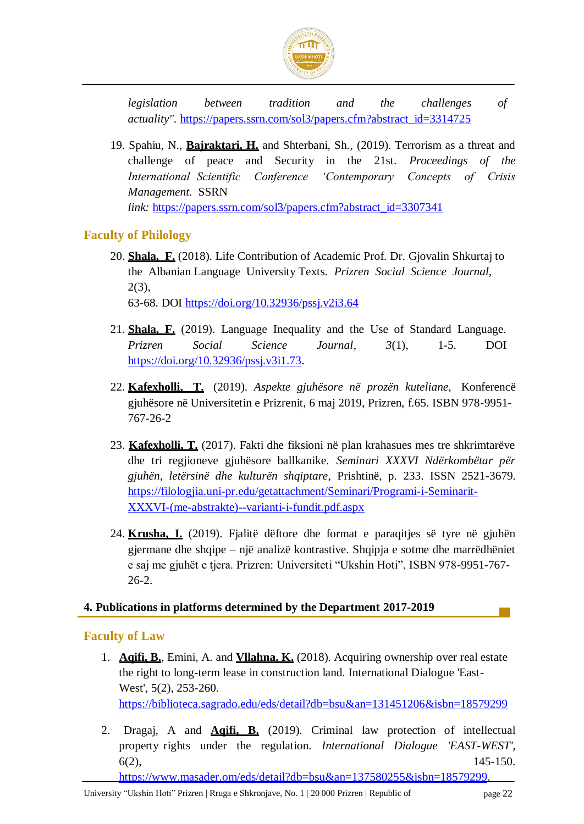

*legislation between tradition and the challenges of actuality".* [https://papers.ssrn.com/sol3/papers.cfm?abstract\\_id=3314725](https://papers.ssrn.com/sol3/papers.cfm?abstract_id=3314725)

19. Spahiu, N., **Bajraktari, H.** and Shterbani, Sh., (2019). Terrorism as a threat and challenge of peace and Security in the 21st. *Proceedings of the International Scientific Conference 'Contemporary Concepts of Crisis Management.* SSRN *link:* [https://papers.ssrn.com/sol3/papers.cfm?abstract\\_id=3307341](https://papers.ssrn.com/sol3/papers.cfm?abstract_id=3307341)

#### **Faculty of Philology**

- 20. **Shala, F.** (2018). Life Contribution of Academic Prof. Dr. Gjovalin Shkurtaj to the Albanian Language University Texts. *Prizren Social Science Journal,*   $2(3)$ , 63-68. DOI<https://doi.org/10.32936/pssj.v2i3.64>
- 21. **Shala, F.** (2019). Language Inequality and the Use of Standard Language. *Prizren Social Science Journal*, *3*(1), 1-5. DOI [https://doi.org/10.32936/pssj.v3i1.73.](https://doi.org/10.32936/pssj.v3i1.73)
- 22. **Kafexholli, T.** (2019). *Aspekte gjuhësore në prozën kuteliane,* Konferencë gjuhësore në Universitetin e Prizrenit, 6 maj 2019, Prizren, f.65. ISBN 978-9951- 767-26-2
- 23. **Kafexholli, T.** (2017). Fakti dhe fiksioni në plan krahasues mes tre shkrimtarëve dhe tri regjioneve gjuhësore ballkanike. *Seminari XXXVI Ndërkombëtar për gjuhën, letërsinë dhe kulturën shqiptare*, Prishtinë, p. 233. ISSN 2521-3679. [https://filologjia.uni-pr.edu/getattachment/Seminari/Programi-i-Seminarit-](https://filologjia.uni-pr.edu/getattachment/Seminari/Programi-i-Seminarit-XXXVI-(me-abstrakte)--varianti-i-fundit.pdf.aspx)[XXXVI-\(me-abstrakte\)--varianti-i-fundit.pdf.aspx](https://filologjia.uni-pr.edu/getattachment/Seminari/Programi-i-Seminarit-XXXVI-(me-abstrakte)--varianti-i-fundit.pdf.aspx)
- 24. **Krusha, I.** (2019). Fjalitë dëftore dhe format e paraqitjes së tyre në gjuhën gjermane dhe shqipe – një analizë kontrastive. Shqipja e sotme dhe marrëdhëniet e saj me gjuhët e tjera. Prizren: Universiteti "Ukshin Hoti", ISBN 978-9951-767- 26-2.

#### **4. Publications in platforms determined by the Department 2017-2019**

#### **Faculty of Law**

- 1. **Aqifi, B.**, Emini, A. and **Vllahna. K.** (2018). Acquiring ownership over real estate the right to long-term lease in construction land. International Dialogue 'East-West', 5(2), 253-260. <https://biblioteca.sagrado.edu/eds/detail?db=bsu&an=131451206&isbn=18579299>
- 2. Dragaj, A and **Aqifi, B.** (2019). Criminal law protection of intellectual property rights under the regulation. *International Dialogue 'EAST-WEST'*,  $6(2)$ , 145-150. [https://www.masader.om/eds/detail?db=bsu&an=137580255&isbn=18579299.](https://www.masader.om/eds/detail?db=bsu&an=137580255&isbn=18579299)

University "Ukshin Hoti" Prizren | Rruga e Shkronjave, No. 1 | 20 000 Prizren | Republic of page 22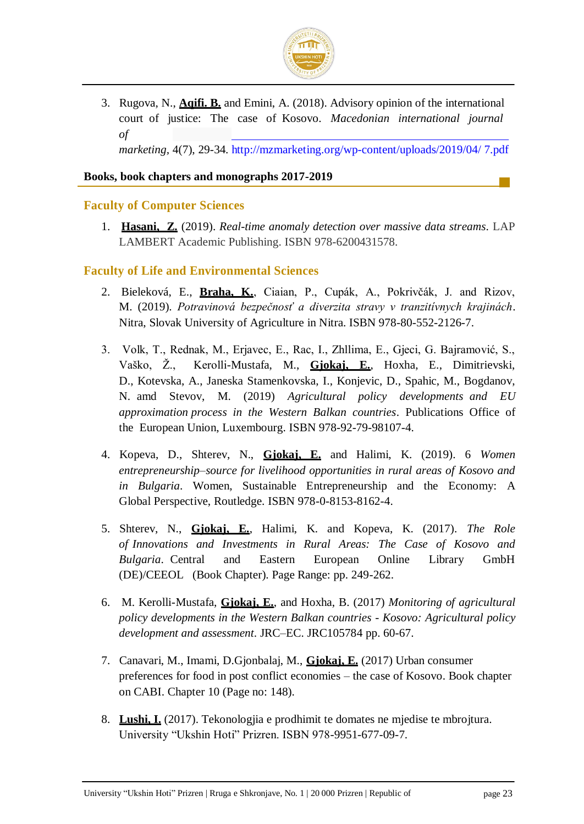

3. Rugova, N., **Aqifi. B.** and Emini, A. (2018). Advisory opinion of the international court of justice: The case of Kosovo. *Macedonian international journal of marketing,* 4(7), 29-34. http://mzmarketing.org/wp-content/uploads/2019/04/ 7.pdf

#### **Books, book chapters and monographs 2017-2019**

#### **Faculty of Computer Sciences**

1. **Hasani, Z.** (2019). *Real-time anomaly detection over massive data streams*. LAP LAMBERT Academic Publishing. ISBN 978-6200431578.

#### **Faculty of Life and Environmental Sciences**

- 2. Bieleková, E., **Braha, K.**, Ciaian, P., Cupák, A., Pokrivčák, J. and Rizov, M. (2019). Potravinová bezpečnosť a diverzita stravy v tranzitívnych krajinách. Nitra, Slovak University of Agriculture in Nitra. ISBN 978-80-552-2126-7.
- 3. Volk, T., Rednak, M., Erjavec, E., Rac, I., Zhllima, E., Gjeci, G. Bajramović, S., Vaško, Ž., Kerolli-Mustafa, M., **Gjokaj, E.**, Hoxha, E., Dimitrievski, D., Kotevska, A., Janeska Stamenkovska, I., Konjevic, D., Spahic, M., Bogdanov, N. amd Stevov, M. (2019) *Agricultural policy developments and EU approximation process in the Western Balkan countries*. Publications Office of the European Union, Luxembourg. ISBN 978-92-79-98107-4.
- 4. Kopeva, D., Shterev, N., **Gjokaj, E.** and Halimi, K. (2019). 6 *Women entrepreneurship–source for livelihood opportunities in rural areas of Kosovo and in Bulgaria*. Women, Sustainable Entrepreneurship and the Economy: A Global Perspective, Routledge. ISBN 978-0-8153-8162-4.
- 5. Shterev, N., **Gjokaj, E.**, Halimi, K. and Kopeva, K. (2017). *The Role of Innovations and Investments in Rural Areas: The Case of Kosovo and Bulgaria*. Central and Eastern European Online Library GmbH (DE)/CEEOL (Book Chapter). Page Range: pp. 249-262.
- 6. M. Kerolli-Mustafa, **Gjokaj, E.**, and Hoxha, B. (2017) *Monitoring of agricultural policy developments in the Western Balkan countries - Kosovo: Agricultural policy development and assessment*. JRC–EC. JRC105784 pp. 60-67.
- 7. Canavari, M., Imami, D.Gjonbalaj, M., **Gjokaj, E.** (2017) Urban consumer preferences for food in post conflict economies – the case of Kosovo. Book chapter on CABI. Chapter 10 (Page no: 148).
- 8. **Lushi, I.** (2017). Tekonologjia e prodhimit te domates ne mjedise te mbrojtura. University "Ukshin Hoti" Prizren. ISBN 978-9951-677-09-7.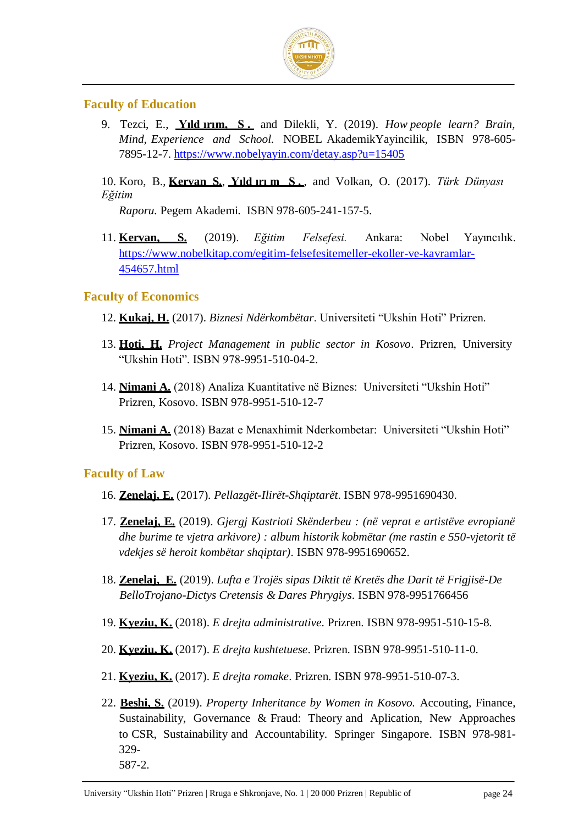

#### **Faculty of Education**

9. Tezci, E., **Yıld ırım, S .** and Dilekli, Y. (2019). *How people learn? Brain, Mind, Experience and School.* NOBEL AkademikYayincilik, ISBN 978-605- 7895-12-7.<https://www.nobelyayin.com/detay.asp?u=15405>

10. Koro, B., **Kervan S.**, **Yıld ırı m S .** , and Volkan, O. (2017). *Türk Dünyası Eğitim*

*Raporu.* Pegem Akademi. ISBN 978-605-241-157-5.

11. **Kervan, S.** (2019). *Eğitim Felsefesi.* Ankara: Nobel Yayıncılık. [https://www.nobelkitap.com/egitim-felsefesitemeller-ekoller-ve-kavramlar-](https://www.nobelkitap.com/egitim-felsefesitemeller-ekoller-ve-kavramlar-454657.html)[454657.html](https://www.nobelkitap.com/egitim-felsefesitemeller-ekoller-ve-kavramlar-454657.html)

#### **Faculty of Economics**

- 12. **Kukaj, H.** (2017). *Biznesi Ndërkombëtar*. Universiteti "Ukshin Hoti" Prizren.
- 13. **Hoti, H.** *Project Management in public sector in Kosovo*. Prizren, University "Ukshin Hoti". ISBN 978-9951-510-04-2.
- 14. **Nimani A.** (2018) Analiza Kuantitative në Biznes: Universiteti "Ukshin Hoti" Prizren, Kosovo. ISBN 978-9951-510-12-7
- 15. **Nimani A.** (2018) Bazat e Menaxhimit Nderkombetar: Universiteti "Ukshin Hoti" Prizren, Kosovo. ISBN 978-9951-510-12-2

#### **Faculty of Law**

- 16. **Zenelaj, E.** (2017). *Pellazgët-Ilirët-Shqiptarët*. ISBN 978-9951690430.
- 17. **Zenelaj, E.** (2019). *Gjergj Kastrioti Skënderbeu : (në veprat e artistëve evropianë dhe burime te vjetra arkivore) : album historik kobmëtar (me rastin e 550-vjetorit të vdekjes së heroit kombëtar shqiptar)*. ISBN 978-9951690652.
- 18. **Zenelaj, E.** (2019). *Lufta e Trojës sipas Diktit të Kretës dhe Darit të Frigjisë-De BelloTrojano-Dictys Cretensis & Dares Phrygiys*. ISBN 978-9951766456
- 19. **Kyeziu, K.** (2018). *E drejta administrative*. Prizren. ISBN 978-9951-510-15-8.
- 20. **Kyeziu, K.** (2017). *E drejta kushtetuese*. Prizren. ISBN 978-9951-510-11-0.
- 21. **Kyeziu, K.** (2017). *E drejta romake*. Prizren. ISBN 978-9951-510-07-3.
- 22. **Beshi, S.** (2019). *Property Inheritance by Women in Kosovo.* Accouting, Finance, Sustainability, Governance & Fraud: Theory and Aplication, New Approaches to CSR, Sustainability and Accountability. Springer Singapore*.* ISBN 978-981- 329- 587-2.

University "Ukshin Hoti" Prizren | Rruga e Shkronjave, No. 1 | 20 000 Prizren | Republic of page 24